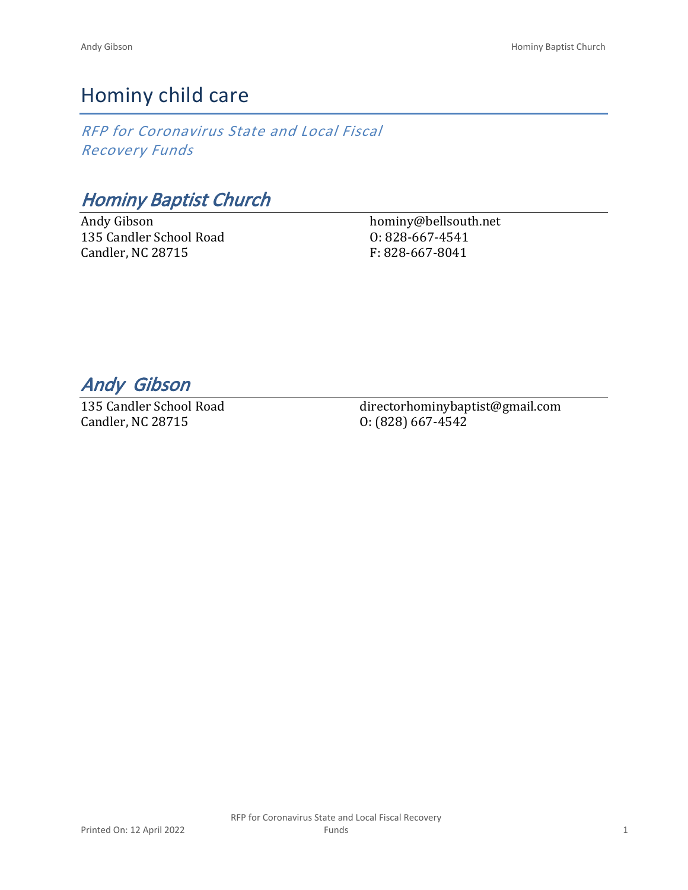## Hominy child care

*RFP for Coronavirus State and Local Fiscal Recovery Funds*

*Hominy Baptist Church*

Andy Gibson 135 Candler School Road Candler, NC 28715

hominy@bellsouth.net O: 828-667-4541 F: 828-667-8041

*Andy Gibson* 

135 Candler School Road Candler, NC 28715

directorhominybaptist@gmail.com O: (828) 667-4542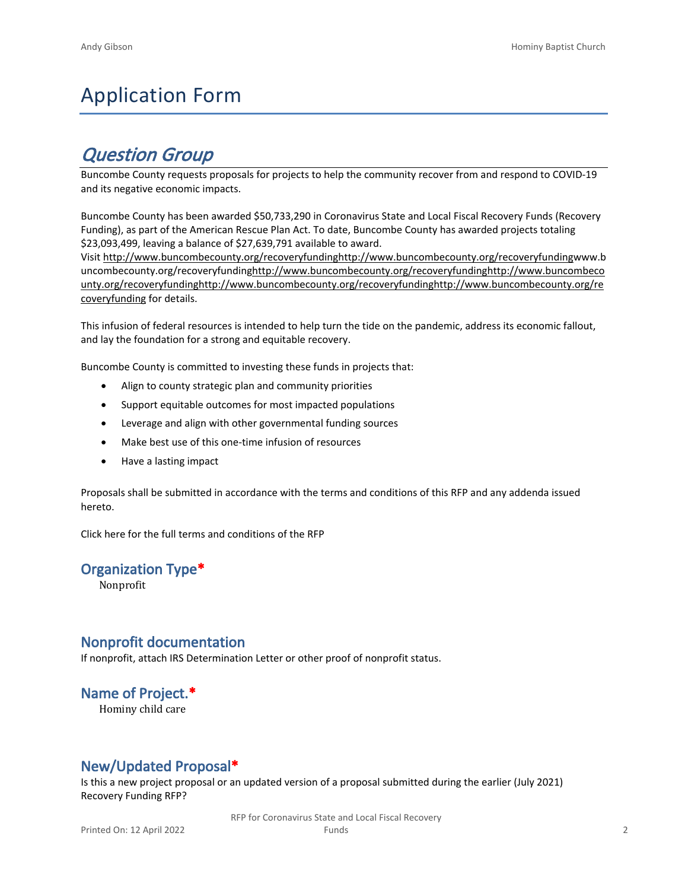# Application Form

## *Question Group*

Buncombe County requests proposals for projects to help the community recover from and respond to COVID-19 and its negative economic impacts.

Buncombe County has been awarded \$50,733,290 in Coronavirus State and Local Fiscal Recovery Funds (Recovery Funding), as part of the American Rescue Plan Act. To date, Buncombe County has awarded projects totaling \$23,093,499, leaving a balance of \$27,639,791 available to award.

Visit [http://www.buncombecounty.org/recoveryfundinghttp://www.buncombecounty.org/recoveryfundingwww.b](http://www.buncombecounty.org/recoveryfunding) [uncombecounty.org/recoveryfundinghttp://www.buncombecounty.org/recoveryfundinghttp://www.buncombeco](http://www.buncombecounty.org/recoveryfunding) [unty.org/recoveryfundinghttp://www.buncombecounty.org/recoveryfundinghttp://www.buncombecounty.org/re](http://www.buncombecounty.org/recoveryfunding) [coveryfunding](http://www.buncombecounty.org/recoveryfunding) for details.

This infusion of federal resources is intended to help turn the tide on the pandemic, address its economic fallout, and lay the foundation for a strong and equitable recovery.

Buncombe County is committed to investing these funds in projects that:

- Align to county strategic plan and community priorities
- Support equitable outcomes for most impacted populations
- Leverage and align with other governmental funding sources
- Make best use of this one-time infusion of resources
- Have a lasting impact

Proposals shall be submitted in accordance with the terms and conditions of this RFP and any addenda issued hereto.

Click [here](https://www.buncombecounty.org/common/purchasing/Buncombe%20Recovery%20Funding%20RFP%202022.pdf) for the full terms and conditions of the RFP

#### **Organization Type\***

Nonprofit

#### **Nonprofit documentation**

If nonprofit, attach IRS Determination Letter or other proof of nonprofit status.

#### **Name of Project.\***

Hominy child care

#### **New/Updated Proposal\***

Is this a new project proposal or an updated version of a proposal submitted during the earlier (July 2021) Recovery Funding RFP?

> RFP for Coronavirus State and Local Fiscal Recovery Funds 2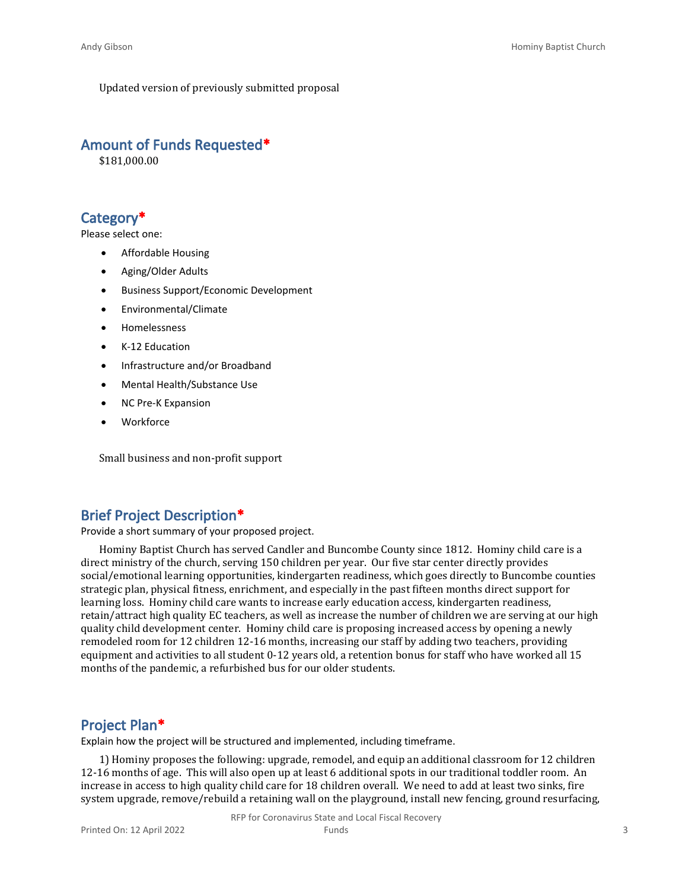Updated version of previously submitted proposal

#### **Amount of Funds Requested\***

\$181,000.00

#### **Category\***

Please select one:

- Affordable Housing
- Aging/Older Adults
- Business Support/Economic Development
- Environmental/Climate
- Homelessness
- K-12 Education
- Infrastructure and/or Broadband
- Mental Health/Substance Use
- NC Pre-K Expansion
- **Workforce**

Small business and non-profit support

#### **Brief Project Description\***

Provide a short summary of your proposed project.

Hominy Baptist Church has served Candler and Buncombe County since 1812. Hominy child care is a direct ministry of the church, serving 150 children per year. Our five star center directly provides social/emotional learning opportunities, kindergarten readiness, which goes directly to Buncombe counties strategic plan, physical fitness, enrichment, and especially in the past fifteen months direct support for learning loss. Hominy child care wants to increase early education access, kindergarten readiness, retain/attract high quality EC teachers, as well as increase the number of children we are serving at our high quality child development center. Hominy child care is proposing increased access by opening a newly remodeled room for 12 children 12-16 months, increasing our staff by adding two teachers, providing equipment and activities to all student 0-12 years old, a retention bonus for staff who have worked all 15 months of the pandemic, a refurbished bus for our older students.

#### **Project Plan\***

Explain how the project will be structured and implemented, including timeframe.

1) Hominy proposes the following: upgrade, remodel, and equip an additional classroom for 12 children 12-16 months of age. This will also open up at least 6 additional spots in our traditional toddler room. An increase in access to high quality child care for 18 children overall. We need to add at least two sinks, fire system upgrade, remove/rebuild a retaining wall on the playground, install new fencing, ground resurfacing,

RFP for Coronavirus State and Local Fiscal Recovery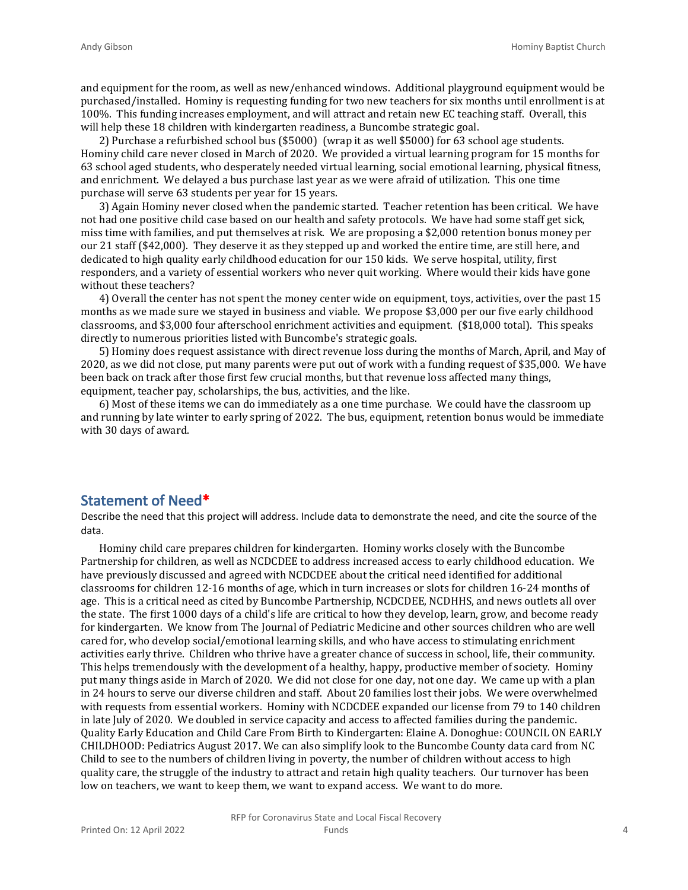and equipment for the room, as well as new/enhanced windows. Additional playground equipment would be purchased/installed. Hominy is requesting funding for two new teachers for six months until enrollment is at 100%. This funding increases employment, and will attract and retain new EC teaching staff. Overall, this will help these 18 children with kindergarten readiness, a Buncombe strategic goal.

2) Purchase a refurbished school bus (\$5000) (wrap it as well \$5000) for 63 school age students. Hominy child care never closed in March of 2020. We provided a virtual learning program for 15 months for 63 school aged students, who desperately needed virtual learning, social emotional learning, physical fitness, and enrichment. We delayed a bus purchase last year as we were afraid of utilization. This one time purchase will serve 63 students per year for 15 years.

3) Again Hominy never closed when the pandemic started. Teacher retention has been critical. We have not had one positive child case based on our health and safety protocols. We have had some staff get sick, miss time with families, and put themselves at risk. We are proposing a \$2,000 retention bonus money per our 21 staff (\$42,000). They deserve it as they stepped up and worked the entire time, are still here, and dedicated to high quality early childhood education for our 150 kids. We serve hospital, utility, first responders, and a variety of essential workers who never quit working. Where would their kids have gone without these teachers?

4) Overall the center has not spent the money center wide on equipment, toys, activities, over the past 15 months as we made sure we stayed in business and viable. We propose \$3,000 per our five early childhood classrooms, and \$3,000 four afterschool enrichment activities and equipment. (\$18,000 total). This speaks directly to numerous priorities listed with Buncombe's strategic goals.

5) Hominy does request assistance with direct revenue loss during the months of March, April, and May of 2020, as we did not close, put many parents were put out of work with a funding request of \$35,000. We have been back on track after those first few crucial months, but that revenue loss affected many things, equipment, teacher pay, scholarships, the bus, activities, and the like.

6) Most of these items we can do immediately as a one time purchase. We could have the classroom up and running by late winter to early spring of 2022. The bus, equipment, retention bonus would be immediate with 30 days of award.

#### **Statement of Need\***

Describe the need that this project will address. Include data to demonstrate the need, and cite the source of the data.

Hominy child care prepares children for kindergarten. Hominy works closely with the Buncombe Partnership for children, as well as NCDCDEE to address increased access to early childhood education. We have previously discussed and agreed with NCDCDEE about the critical need identified for additional classrooms for children 12-16 months of age, which in turn increases or slots for children 16-24 months of age. This is a critical need as cited by Buncombe Partnership, NCDCDEE, NCDHHS, and news outlets all over the state. The first 1000 days of a child's life are critical to how they develop, learn, grow, and become ready for kindergarten. We know from The Journal of Pediatric Medicine and other sources children who are well cared for, who develop social/emotional learning skills, and who have access to stimulating enrichment activities early thrive. Children who thrive have a greater chance of success in school, life, their community. This helps tremendously with the development of a healthy, happy, productive member of society. Hominy put many things aside in March of 2020. We did not close for one day, not one day. We came up with a plan in 24 hours to serve our diverse children and staff. About 20 families lost their jobs. We were overwhelmed with requests from essential workers. Hominy with NCDCDEE expanded our license from 79 to 140 children in late July of 2020. We doubled in service capacity and access to affected families during the pandemic. Quality Early Education and Child Care From Birth to Kindergarten: Elaine A. Donoghue: COUNCIL ON EARLY CHILDHOOD: Pediatrics August 2017. We can also simplify look to the Buncombe County data card from NC Child to see to the numbers of children living in poverty, the number of children without access to high quality care, the struggle of the industry to attract and retain high quality teachers. Our turnover has been low on teachers, we want to keep them, we want to expand access. We want to do more.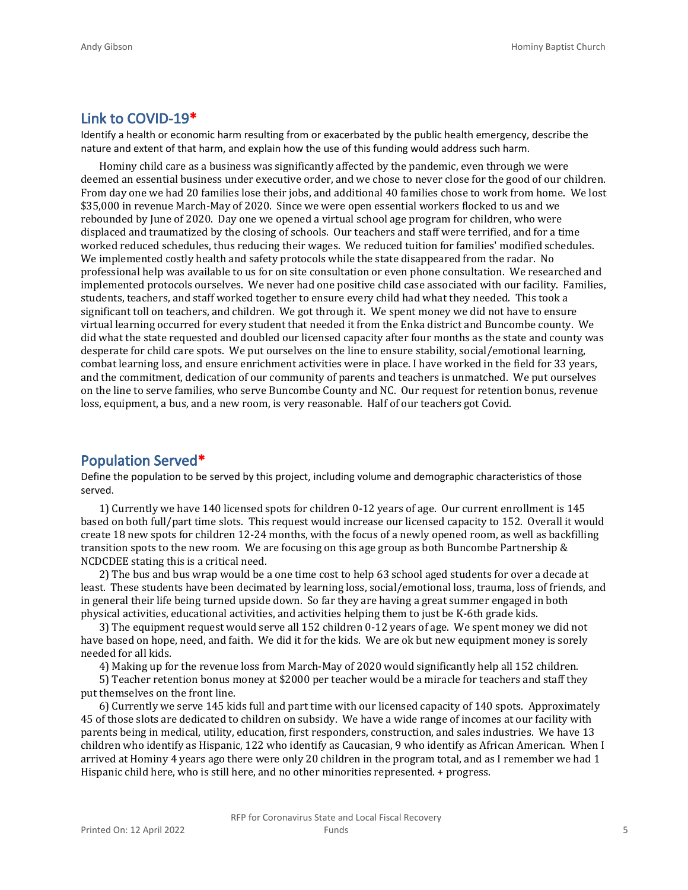#### **Link to COVID-19\***

Identify a health or economic harm resulting from or exacerbated by the public health emergency, describe the nature and extent of that harm, and explain how the use of this funding would address such harm.

Hominy child care as a business was significantly affected by the pandemic, even through we were deemed an essential business under executive order, and we chose to never close for the good of our children. From day one we had 20 families lose their jobs, and additional 40 families chose to work from home. We lost \$35,000 in revenue March-May of 2020. Since we were open essential workers flocked to us and we rebounded by June of 2020. Day one we opened a virtual school age program for children, who were displaced and traumatized by the closing of schools. Our teachers and staff were terrified, and for a time worked reduced schedules, thus reducing their wages. We reduced tuition for families' modified schedules. We implemented costly health and safety protocols while the state disappeared from the radar. No professional help was available to us for on site consultation or even phone consultation. We researched and implemented protocols ourselves. We never had one positive child case associated with our facility. Families, students, teachers, and staff worked together to ensure every child had what they needed. This took a significant toll on teachers, and children. We got through it. We spent money we did not have to ensure virtual learning occurred for every student that needed it from the Enka district and Buncombe county. We did what the state requested and doubled our licensed capacity after four months as the state and county was desperate for child care spots. We put ourselves on the line to ensure stability, social/emotional learning, combat learning loss, and ensure enrichment activities were in place. I have worked in the field for 33 years, and the commitment, dedication of our community of parents and teachers is unmatched. We put ourselves on the line to serve families, who serve Buncombe County and NC. Our request for retention bonus, revenue loss, equipment, a bus, and a new room, is very reasonable. Half of our teachers got Covid.

#### **Population Served\***

Define the population to be served by this project, including volume and demographic characteristics of those served.

1) Currently we have 140 licensed spots for children 0-12 years of age. Our current enrollment is 145 based on both full/part time slots. This request would increase our licensed capacity to 152. Overall it would create 18 new spots for children 12-24 months, with the focus of a newly opened room, as well as backfilling transition spots to the new room. We are focusing on this age group as both Buncombe Partnership & NCDCDEE stating this is a critical need.

2) The bus and bus wrap would be a one time cost to help 63 school aged students for over a decade at least. These students have been decimated by learning loss, social/emotional loss, trauma, loss of friends, and in general their life being turned upside down. So far they are having a great summer engaged in both physical activities, educational activities, and activities helping them to just be K-6th grade kids.

3) The equipment request would serve all 152 children 0-12 years of age. We spent money we did not have based on hope, need, and faith. We did it for the kids. We are ok but new equipment money is sorely needed for all kids.

4) Making up for the revenue loss from March-May of 2020 would significantly help all 152 children.

5) Teacher retention bonus money at \$2000 per teacher would be a miracle for teachers and staff they put themselves on the front line.

6) Currently we serve 145 kids full and part time with our licensed capacity of 140 spots. Approximately 45 of those slots are dedicated to children on subsidy. We have a wide range of incomes at our facility with parents being in medical, utility, education, first responders, construction, and sales industries. We have 13 children who identify as Hispanic, 122 who identify as Caucasian, 9 who identify as African American. When I arrived at Hominy 4 years ago there were only 20 children in the program total, and as I remember we had 1 Hispanic child here, who is still here, and no other minorities represented. + progress.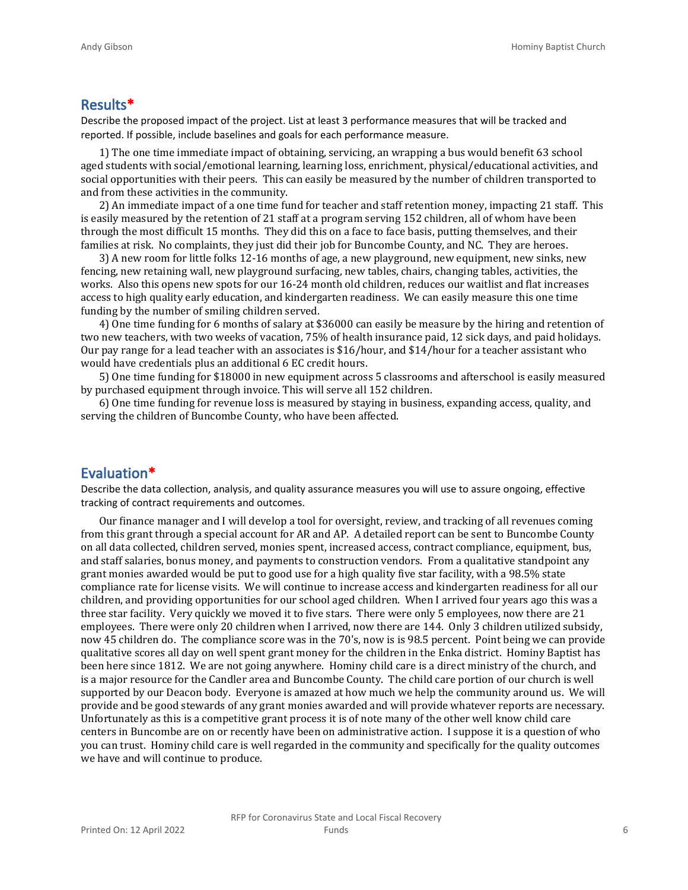#### **Results\***

Describe the proposed impact of the project. List at least 3 performance measures that will be tracked and reported. If possible, include baselines and goals for each performance measure.

1) The one time immediate impact of obtaining, servicing, an wrapping a bus would benefit 63 school aged students with social/emotional learning, learning loss, enrichment, physical/educational activities, and social opportunities with their peers. This can easily be measured by the number of children transported to and from these activities in the community.

2) An immediate impact of a one time fund for teacher and staff retention money, impacting 21 staff. This is easily measured by the retention of 21 staff at a program serving 152 children, all of whom have been through the most difficult 15 months. They did this on a face to face basis, putting themselves, and their families at risk. No complaints, they just did their job for Buncombe County, and NC. They are heroes.

3) A new room for little folks 12-16 months of age, a new playground, new equipment, new sinks, new fencing, new retaining wall, new playground surfacing, new tables, chairs, changing tables, activities, the works. Also this opens new spots for our 16-24 month old children, reduces our waitlist and flat increases access to high quality early education, and kindergarten readiness. We can easily measure this one time funding by the number of smiling children served.

4) One time funding for 6 months of salary at \$36000 can easily be measure by the hiring and retention of two new teachers, with two weeks of vacation, 75% of health insurance paid, 12 sick days, and paid holidays. Our pay range for a lead teacher with an associates is \$16/hour, and \$14/hour for a teacher assistant who would have credentials plus an additional 6 EC credit hours.

5) One time funding for \$18000 in new equipment across 5 classrooms and afterschool is easily measured by purchased equipment through invoice. This will serve all 152 children.

6) One time funding for revenue loss is measured by staying in business, expanding access, quality, and serving the children of Buncombe County, who have been affected.

#### **Evaluation\***

Describe the data collection, analysis, and quality assurance measures you will use to assure ongoing, effective tracking of contract requirements and outcomes.

Our finance manager and I will develop a tool for oversight, review, and tracking of all revenues coming from this grant through a special account for AR and AP. A detailed report can be sent to Buncombe County on all data collected, children served, monies spent, increased access, contract compliance, equipment, bus, and staff salaries, bonus money, and payments to construction vendors. From a qualitative standpoint any grant monies awarded would be put to good use for a high quality five star facility, with a 98.5% state compliance rate for license visits. We will continue to increase access and kindergarten readiness for all our children, and providing opportunities for our school aged children. When I arrived four years ago this was a three star facility. Very quickly we moved it to five stars. There were only 5 employees, now there are 21 employees. There were only 20 children when I arrived, now there are 144. Only 3 children utilized subsidy, now 45 children do. The compliance score was in the 70's, now is is 98.5 percent. Point being we can provide qualitative scores all day on well spent grant money for the children in the Enka district. Hominy Baptist has been here since 1812. We are not going anywhere. Hominy child care is a direct ministry of the church, and is a major resource for the Candler area and Buncombe County. The child care portion of our church is well supported by our Deacon body. Everyone is amazed at how much we help the community around us. We will provide and be good stewards of any grant monies awarded and will provide whatever reports are necessary. Unfortunately as this is a competitive grant process it is of note many of the other well know child care centers in Buncombe are on or recently have been on administrative action. I suppose it is a question of who you can trust. Hominy child care is well regarded in the community and specifically for the quality outcomes we have and will continue to produce.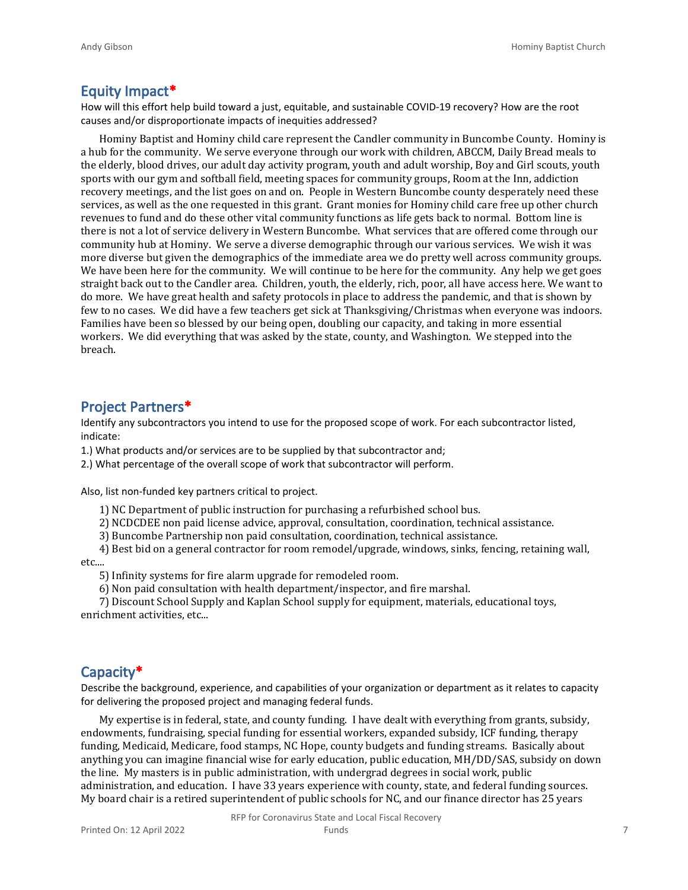#### **Equity Impact\***

How will this effort help build toward a just, equitable, and sustainable COVID-19 recovery? How are the root causes and/or disproportionate impacts of inequities addressed?

Hominy Baptist and Hominy child care represent the Candler community in Buncombe County. Hominy is a hub for the community. We serve everyone through our work with children, ABCCM, Daily Bread meals to the elderly, blood drives, our adult day activity program, youth and adult worship, Boy and Girl scouts, youth sports with our gym and softball field, meeting spaces for community groups, Room at the Inn, addiction recovery meetings, and the list goes on and on. People in Western Buncombe county desperately need these services, as well as the one requested in this grant. Grant monies for Hominy child care free up other church revenues to fund and do these other vital community functions as life gets back to normal. Bottom line is there is not a lot of service delivery in Western Buncombe. What services that are offered come through our community hub at Hominy. We serve a diverse demographic through our various services. We wish it was more diverse but given the demographics of the immediate area we do pretty well across community groups. We have been here for the community. We will continue to be here for the community. Any help we get goes straight back out to the Candler area. Children, youth, the elderly, rich, poor, all have access here. We want to do more. We have great health and safety protocols in place to address the pandemic, and that is shown by few to no cases. We did have a few teachers get sick at Thanksgiving/Christmas when everyone was indoors. Families have been so blessed by our being open, doubling our capacity, and taking in more essential workers. We did everything that was asked by the state, county, and Washington. We stepped into the breach.

#### **Project Partners\***

Identify any subcontractors you intend to use for the proposed scope of work. For each subcontractor listed, indicate:

1.) What products and/or services are to be supplied by that subcontractor and;

2.) What percentage of the overall scope of work that subcontractor will perform.

Also, list non-funded key partners critical to project.

1) NC Department of public instruction for purchasing a refurbished school bus.

2) NCDCDEE non paid license advice, approval, consultation, coordination, technical assistance.

3) Buncombe Partnership non paid consultation, coordination, technical assistance.

4) Best bid on a general contractor for room remodel/upgrade, windows, sinks, fencing, retaining wall,

etc....

5) Infinity systems for fire alarm upgrade for remodeled room.

6) Non paid consultation with health department/inspector, and fire marshal.

7) Discount School Supply and Kaplan School supply for equipment, materials, educational toys, enrichment activities, etc...

#### **Capacity\***

Describe the background, experience, and capabilities of your organization or department as it relates to capacity for delivering the proposed project and managing federal funds.

My expertise is in federal, state, and county funding. I have dealt with everything from grants, subsidy, endowments, fundraising, special funding for essential workers, expanded subsidy, ICF funding, therapy funding, Medicaid, Medicare, food stamps, NC Hope, county budgets and funding streams. Basically about anything you can imagine financial wise for early education, public education, MH/DD/SAS, subsidy on down the line. My masters is in public administration, with undergrad degrees in social work, public administration, and education. I have 33 years experience with county, state, and federal funding sources. My board chair is a retired superintendent of public schools for NC, and our finance director has 25 years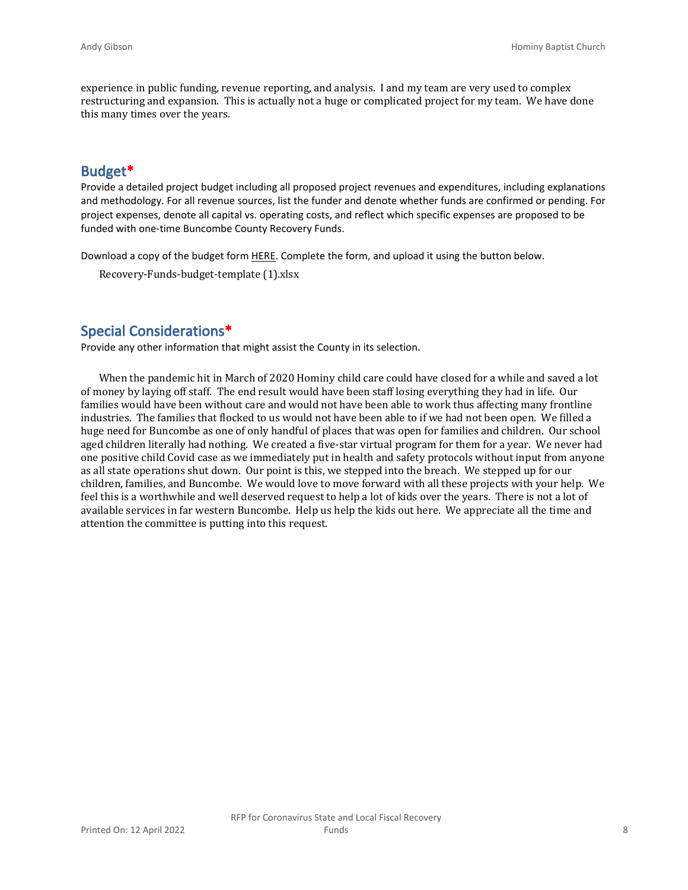experience in public funding, revenue reporting, and analysis. I and my team are very used to complex restructuring and expansion. This is actually not a huge or complicated project for my team. We have done this many times over the years.

#### **Budget\***

Provide a detailed project budget including all proposed project revenues and expenditures, including explanations and methodology. For all revenue sources, list the funder and denote whether funds are confirmed or pending. For project expenses, denote all capital vs. operating costs, and reflect which specific expenses are proposed to be funded with one-time Buncombe County Recovery Funds.

Download a copy of the budget form [HERE](https://buncombecounty.org/common/community-investment/grants/early-childhood-education/Recovery-Funds-budget-template.xlsx). Complete the form, and upload it using the button below.

Recovery-Funds-budget-template (1).xlsx

#### **Special Considerations\***

Provide any other information that might assist the County in its selection.

When the pandemic hit in March of 2020 Hominy child care could have closed for a while and saved a lot of money by laying off staff. The end result would have been staff losing everything they had in life. Our families would have been without care and would not have been able to work thus affecting many frontline industries. The families that flocked to us would not have been able to if we had not been open. We filled a huge need for Buncombe as one of only handful of places that was open for families and children. Our school aged children literally had nothing. We created a five-star virtual program for them for a year. We never had one positive child Covid case as we immediately put in health and safety protocols without input from anyone as all state operations shut down. Our point is this, we stepped into the breach. We stepped up for our children, families, and Buncombe. We would love to move forward with all these projects with your help. We feel this is a worthwhile and well deserved request to help a lot of kids over the years. There is not a lot of available services in far western Buncombe. Help us help the kids out here. We appreciate all the time and attention the committee is putting into this request.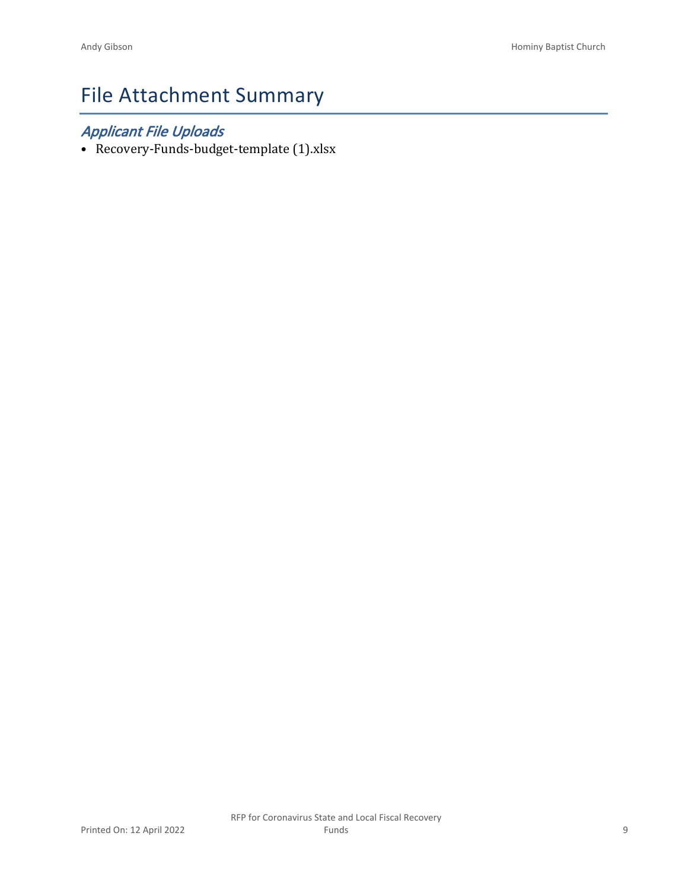# File Attachment Summary

### *Applicant File Uploads*

• Recovery-Funds-budget-template (1).xlsx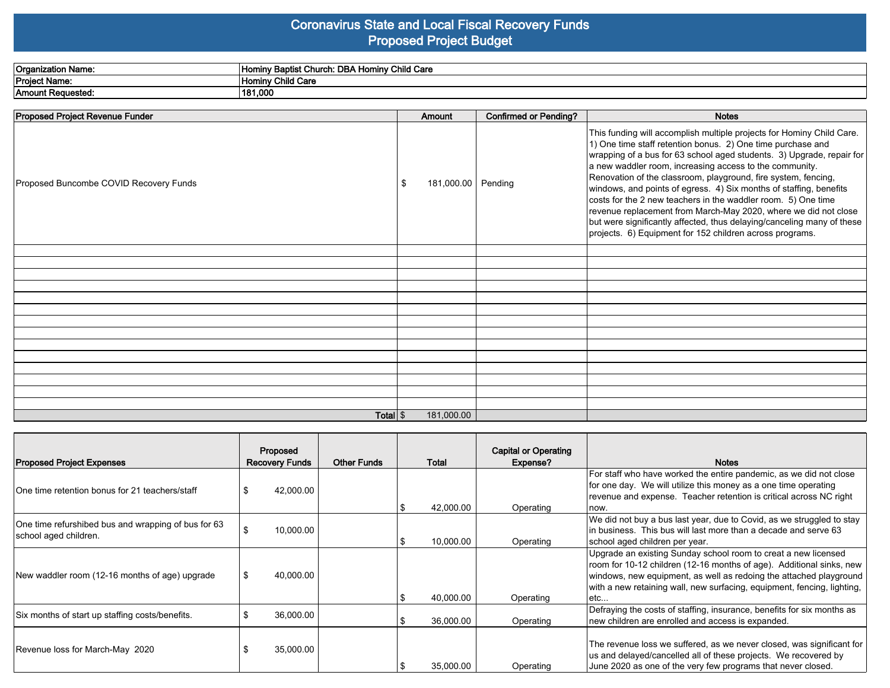#### **Coronavirus State and Local Fiscal Recovery Funds Proposed Project Budget**

| <b>Organization Name:</b>    | . Hominy Child Care<br>- Church: DBA Homi<br><b>Baptist Ch</b><br>Inomir |
|------------------------------|--------------------------------------------------------------------------|
| <b>Project Name:</b>         | Hominy Child Care                                                        |
| <b>Amount</b><br>: Reauested | 181.000                                                                  |

| Proposed Project Revenue Funder        | Amount                    | <b>Confirmed or Pending?</b> | <b>Notes</b>                                                                                                                                                                                                                                                                                                                                                                                                                                                                                                                                                                                                                                                                                |
|----------------------------------------|---------------------------|------------------------------|---------------------------------------------------------------------------------------------------------------------------------------------------------------------------------------------------------------------------------------------------------------------------------------------------------------------------------------------------------------------------------------------------------------------------------------------------------------------------------------------------------------------------------------------------------------------------------------------------------------------------------------------------------------------------------------------|
| Proposed Buncombe COVID Recovery Funds | 181,000.00 Pending<br>-\$ |                              | This funding will accomplish multiple projects for Hominy Child Care.<br>1) One time staff retention bonus. 2) One time purchase and<br> wrapping of a bus for 63 school aged students. 3) Upgrade, repair for<br>a new waddler room, increasing access to the community.<br>Renovation of the classroom, playground, fire system, fencing,<br>windows, and points of egress. 4) Six months of staffing, benefits<br>costs for the 2 new teachers in the waddler room. 5) One time<br>revenue replacement from March-May 2020, where we did not close<br>but were significantly affected, thus delaying/canceling many of these<br>projects. 6) Equipment for 152 children across programs. |
|                                        |                           |                              |                                                                                                                                                                                                                                                                                                                                                                                                                                                                                                                                                                                                                                                                                             |
|                                        |                           |                              |                                                                                                                                                                                                                                                                                                                                                                                                                                                                                                                                                                                                                                                                                             |
|                                        |                           |                              |                                                                                                                                                                                                                                                                                                                                                                                                                                                                                                                                                                                                                                                                                             |
|                                        |                           |                              |                                                                                                                                                                                                                                                                                                                                                                                                                                                                                                                                                                                                                                                                                             |
|                                        |                           |                              |                                                                                                                                                                                                                                                                                                                                                                                                                                                                                                                                                                                                                                                                                             |
|                                        |                           |                              |                                                                                                                                                                                                                                                                                                                                                                                                                                                                                                                                                                                                                                                                                             |
|                                        |                           |                              |                                                                                                                                                                                                                                                                                                                                                                                                                                                                                                                                                                                                                                                                                             |
|                                        |                           |                              |                                                                                                                                                                                                                                                                                                                                                                                                                                                                                                                                                                                                                                                                                             |
|                                        |                           |                              |                                                                                                                                                                                                                                                                                                                                                                                                                                                                                                                                                                                                                                                                                             |
|                                        |                           |                              |                                                                                                                                                                                                                                                                                                                                                                                                                                                                                                                                                                                                                                                                                             |
|                                        |                           |                              |                                                                                                                                                                                                                                                                                                                                                                                                                                                                                                                                                                                                                                                                                             |
|                                        |                           |                              |                                                                                                                                                                                                                                                                                                                                                                                                                                                                                                                                                                                                                                                                                             |
|                                        |                           |                              |                                                                                                                                                                                                                                                                                                                                                                                                                                                                                                                                                                                                                                                                                             |
| Total $\frac{1}{2}$                    | 181,000.00                |                              |                                                                                                                                                                                                                                                                                                                                                                                                                                                                                                                                                                                                                                                                                             |

| <b>Proposed Project Expenses</b>                                             | Proposed<br><b>Recovery Funds</b> | <b>Other Funds</b> | Total     | <b>Capital or Operating</b><br>Expense? | <b>Notes</b>                                                                                                                                                                                                                                                                                    |
|------------------------------------------------------------------------------|-----------------------------------|--------------------|-----------|-----------------------------------------|-------------------------------------------------------------------------------------------------------------------------------------------------------------------------------------------------------------------------------------------------------------------------------------------------|
| IOne time retention bonus for 21 teachers/staff_                             | 42,000.00                         |                    | 42,000.00 | Operating                               | For staff who have worked the entire pandemic, as we did not close<br>for one day. We will utilize this money as a one time operating<br>revenue and expense. Teacher retention is critical across NC right<br>now.                                                                             |
| One time refurshibed bus and wrapping of bus for 63<br>school aged children. | 10,000.00                         |                    | 10,000.00 | Operating                               | We did not buy a bus last year, due to Covid, as we struggled to stay<br>In business. This bus will last more than a decade and serve 63<br>school aged children per year.                                                                                                                      |
| New waddler room (12-16 months of age) upgrade                               | 40,000.00<br>-S                   |                    | 40,000.00 | Operating                               | Upgrade an existing Sunday school room to creat a new licensed<br>room for 10-12 children (12-16 months of age). Additional sinks, new<br>windows, new equipment, as well as redoing the attached playground<br>with a new retaining wall, new surfacing, equipment, fencing, lighting,<br>letc |
| Six months of start up staffing costs/benefits.                              | 36,000.00                         |                    | 36.000.00 | Operating                               | Defraying the costs of staffing, insurance, benefits for six months as<br>new children are enrolled and access is expanded.                                                                                                                                                                     |
| Revenue loss for March-May 2020                                              | 35,000.00                         |                    | 35,000.00 | Operating                               | The revenue loss we suffered, as we never closed, was significant for<br>us and delayed/cancelled all of these projects. We recovered by<br>June 2020 as one of the very few programs that never closed.                                                                                        |